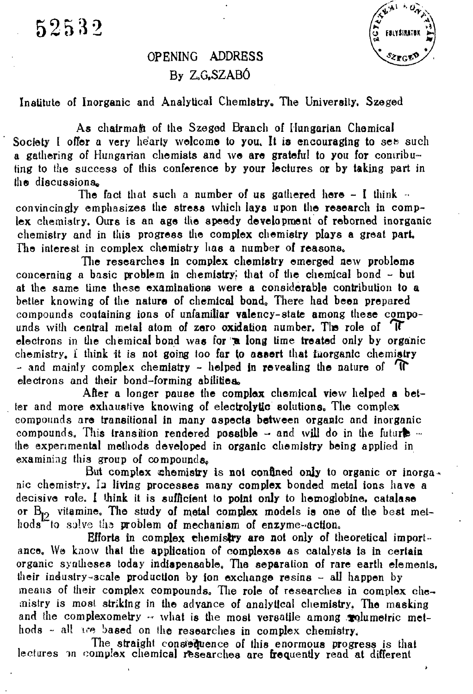52532

## OPENING ADDRESS By Z.G.SZABÓ

Institute of Inorganic and Analytical Chemistry, The University. Szeged

As chairmaft of the Szeged Branch of Hungarian Chemical Society I offer a very hearty welcome to you. It is encouraging to set such a gathering of Hungarian chemists and we are grateful to you for contributing to the success of this conference by your lectures or by taking part in the discussions«,

The fact that such a number of us gathered here  $-1$  think  $$ convincingly emphasizes the stress which lays upon the research in complex chemistry. Ours is an age the speedy development of reborned inorganic chemistry and in this progress the complex chemistry plays a great part. The interest in complex chemistry has a number of reasons.

The researches in complex chemistry emerged new problems concerning a basic problem in chemistry; that of the chemical bond - but at the same time these examinations were a considerable contribution to a better knowing of the nature of chemical bond,, There had been prepared compounds containing ions of unfamiliar valency-state among these compounds with central metal atom of zero oxidation number. The role of  $T$ electrons in the chemical bond was for  $\pi$  long time treated only by organic chemistry, i think it is not going too far to assert that Inorganic chemistry - and mainly complex chemistry - helped in revealing the nature of  $\mathbf{T}$ electrons and their bond-forming abilities

After a longer pause the complex chemical view helped **a** better and more exhaustive knowing of electrolytic solutions. The complex compounds are transitional in many aspects between organic and inorganic compounds. This transition rendered possible  $-$  and will do in the future Ihe experimental methods developed in organic chemistry being applied in examining this group of compounds.

But complex chemistry is not confined only to organic or inorganic chemistry. la living processes many complex bonded metal ions have a decisive role. I think it is sufficient to point only to hemoglobine, catalase or  $B_{12}$  vitamine. The study of metal complex models is one of the best methods to solve **t!i3** problem of mechanism of enzyme-action.

Efforts in complex chemistry are not only of theoretical importance. We **know** that the application **of** complexes as catalysts is in certain organic syntheses today indispensable. The separation of rare earth elements, **their induslry~3cale** production by ion exchange resins - all happen by **means of** their complex compounds» The role of researches in complex che**mistry is most** striking in the advance of analytical chemistry. The masking and the complexometry - what is the most versatile among molumetric methods - **all ire** based on **the** researches in complex chemistry.

The straight consistmence of this enormous progress is that lectures in complex chemical researches are frequently read at different